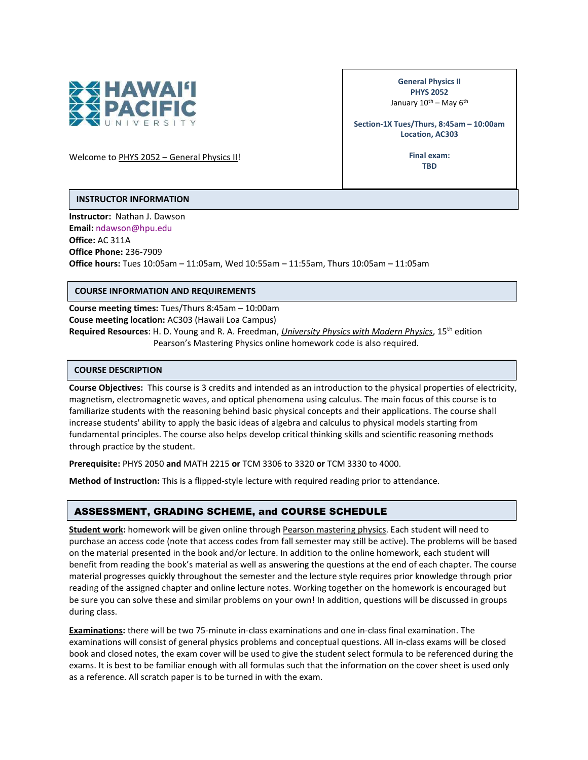

General Physics II PHYS 2052 January 10<sup>th</sup> – May 6<sup>th</sup>

Section-1X Tues/Thurs, 8:45am – 10:00am Location, AC303

Welcome to PHYS 2052 - General Physics II!

Final exam: **TRD** 

### INSTRUCTOR INFORMATION

Instructor: Nathan J. Dawson Email: ndawson@hpu.edu Office: AC 311A Office Phone: 236-7909 Office hours: Tues 10:05am – 11:05am, Wed 10:55am – 11:55am, Thurs 10:05am – 11:05am

### COURSE INFORMATION AND REQUIREMENTS

Course meeting times: Tues/Thurs 8:45am – 10:00am Couse meeting location: AC303 (Hawaii Loa Campus) Required Resources: H. D. Young and R. A. Freedman, University Physics with Modern Physics, 15<sup>th</sup> edition Pearson's Mastering Physics online homework code is also required.

### COURSE DESCRIPTION

Course Objectives: This course is 3 credits and intended as an introduction to the physical properties of electricity, magnetism, electromagnetic waves, and optical phenomena using calculus. The main focus of this course is to familiarize students with the reasoning behind basic physical concepts and their applications. The course shall increase students' ability to apply the basic ideas of algebra and calculus to physical models starting from fundamental principles. The course also helps develop critical thinking skills and scientific reasoning methods through practice by the student.

Prerequisite: PHYS 2050 and MATH 2215 or TCM 3306 to 3320 or TCM 3330 to 4000.

Method of Instruction: This is a flipped-style lecture with required reading prior to attendance.

# ASSESSMENT, GRADING SCHEME, and COURSE SCHEDULE

Student work: homework will be given online through Pearson mastering physics. Each student will need to purchase an access code (note that access codes from fall semester may still be active). The problems will be based on the material presented in the book and/or lecture. In addition to the online homework, each student will benefit from reading the book's material as well as answering the questions at the end of each chapter. The course material progresses quickly throughout the semester and the lecture style requires prior knowledge through prior reading of the assigned chapter and online lecture notes. Working together on the homework is encouraged but be sure you can solve these and similar problems on your own! In addition, questions will be discussed in groups during class.

Examinations: there will be two 75-minute in-class examinations and one in-class final examination. The examinations will consist of general physics problems and conceptual questions. All in-class exams will be closed book and closed notes, the exam cover will be used to give the student select formula to be referenced during the exams. It is best to be familiar enough with all formulas such that the information on the cover sheet is used only as a reference. All scratch paper is to be turned in with the exam.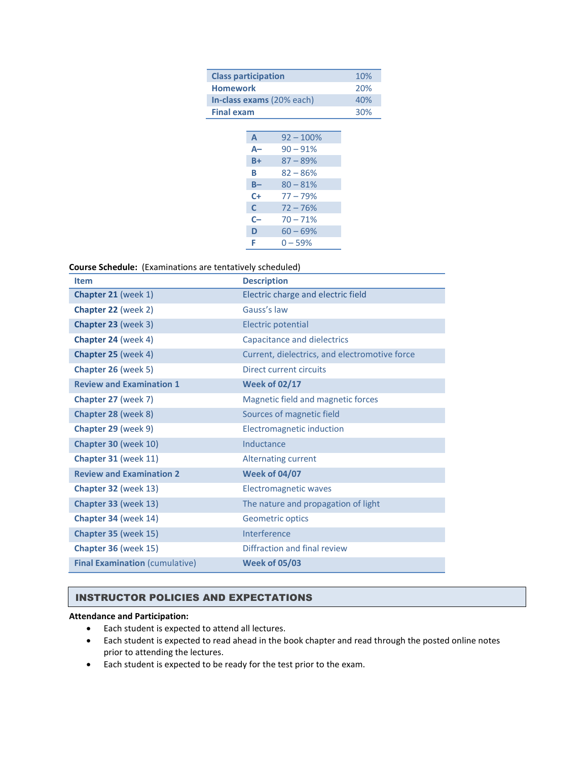| <b>Class participation</b> |      |             | 10% |
|----------------------------|------|-------------|-----|
| Homework                   |      |             | 20% |
| In-class exams (20% each)  |      |             | 40% |
| <b>Final exam</b>          |      |             | 30% |
|                            |      |             |     |
|                            | A    | $92 - 100%$ |     |
|                            | A-   | $90 - 91%$  |     |
|                            | $B+$ | $87 - 89%$  |     |
|                            | В    | $82 - 86%$  |     |
|                            | B-   | $80 - 81%$  |     |
|                            | $C+$ | $77 - 79%$  |     |
|                            | C    | $72 - 76%$  |     |
|                            | $C-$ | $70 - 71%$  |     |
|                            | D    | $60 - 69%$  |     |
|                            | F    | $0 - 59%$   |     |
|                            |      |             |     |

## Course Schedule: (Examinations are tentatively scheduled)

| <b>Item</b>                           | <b>Description</b>                            |  |
|---------------------------------------|-----------------------------------------------|--|
| Chapter 21 (week 1)                   | Electric charge and electric field            |  |
| Chapter 22 (week 2)                   | Gauss's law                                   |  |
| Chapter 23 (week 3)                   | <b>Electric potential</b>                     |  |
| Chapter 24 (week 4)                   | Capacitance and dielectrics                   |  |
| Chapter 25 (week 4)                   | Current, dielectrics, and electromotive force |  |
| Chapter 26 (week 5)                   | Direct current circuits                       |  |
| <b>Review and Examination 1</b>       | <b>Week of 02/17</b>                          |  |
| Chapter 27 (week 7)                   | Magnetic field and magnetic forces            |  |
| Chapter 28 (week 8)                   | Sources of magnetic field                     |  |
| Chapter 29 (week 9)                   | Electromagnetic induction                     |  |
| Chapter 30 (week 10)                  | Inductance                                    |  |
| Chapter 31 (week 11)                  | <b>Alternating current</b>                    |  |
| <b>Review and Examination 2</b>       | <b>Week of 04/07</b>                          |  |
| Chapter 32 (week 13)                  | <b>Electromagnetic waves</b>                  |  |
| Chapter 33 (week 13)                  | The nature and propagation of light           |  |
| Chapter 34 (week 14)                  | Geometric optics                              |  |
| Chapter 35 (week 15)                  | Interference                                  |  |
| Chapter 36 (week 15)                  | Diffraction and final review                  |  |
| <b>Final Examination (cumulative)</b> | <b>Week of 05/03</b>                          |  |

## INSTRUCTOR POLICIES AND EXPECTATIONS

### Attendance and Participation:

- Each student is expected to attend all lectures.
- Each student is expected to read ahead in the book chapter and read through the posted online notes prior to attending the lectures.
- Each student is expected to be ready for the test prior to the exam.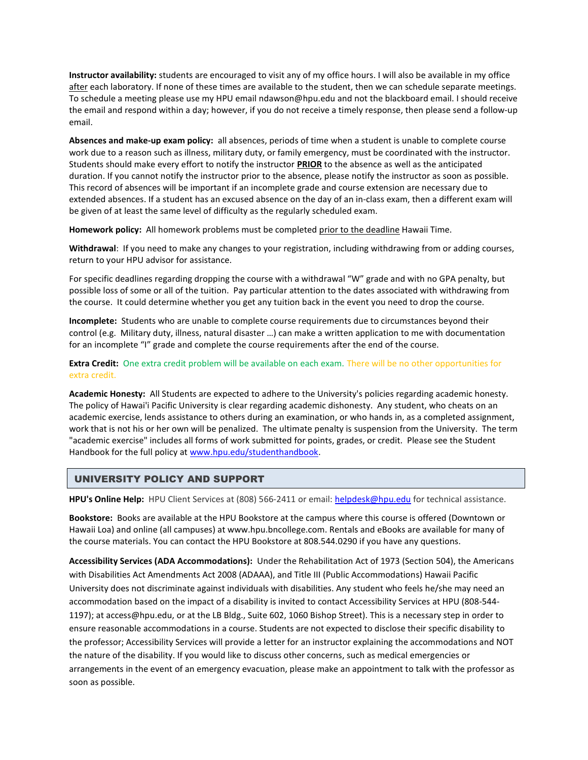Instructor availability: students are encouraged to visit any of my office hours. I will also be available in my office after each laboratory. If none of these times are available to the student, then we can schedule separate meetings. To schedule a meeting please use my HPU email ndawson@hpu.edu and not the blackboard email. I should receive the email and respond within a day; however, if you do not receive a timely response, then please send a follow-up email.

Absences and make-up exam policy: all absences, periods of time when a student is unable to complete course work due to a reason such as illness, military duty, or family emergency, must be coordinated with the instructor. Students should make every effort to notify the instructor PRIOR to the absence as well as the anticipated duration. If you cannot notify the instructor prior to the absence, please notify the instructor as soon as possible. This record of absences will be important if an incomplete grade and course extension are necessary due to extended absences. If a student has an excused absence on the day of an in-class exam, then a different exam will be given of at least the same level of difficulty as the regularly scheduled exam.

Homework policy: All homework problems must be completed prior to the deadline Hawaii Time.

Withdrawal: If you need to make any changes to your registration, including withdrawing from or adding courses, return to your HPU advisor for assistance.

For specific deadlines regarding dropping the course with a withdrawal "W" grade and with no GPA penalty, but possible loss of some or all of the tuition. Pay particular attention to the dates associated with withdrawing from the course. It could determine whether you get any tuition back in the event you need to drop the course.

Incomplete: Students who are unable to complete course requirements due to circumstances beyond their control (e.g. Military duty, illness, natural disaster …) can make a written application to me with documentation for an incomplete "I" grade and complete the course requirements after the end of the course.

Extra Credit: One extra credit problem will be available on each exam. There will be no other opportunities for extra credit.

Academic Honesty: All Students are expected to adhere to the University's policies regarding academic honesty. The policy of Hawai'i Pacific University is clear regarding academic dishonesty. Any student, who cheats on an academic exercise, lends assistance to others during an examination, or who hands in, as a completed assignment, work that is not his or her own will be penalized. The ultimate penalty is suspension from the University. The term "academic exercise" includes all forms of work submitted for points, grades, or credit. Please see the Student Handbook for the full policy at www.hpu.edu/studenthandbook.

# UNIVERSITY POLICY AND SUPPORT

HPU's Online Help: HPU Client Services at (808) 566-2411 or email: helpdesk@hpu.edu for technical assistance.

Bookstore: Books are available at the HPU Bookstore at the campus where this course is offered (Downtown or Hawaii Loa) and online (all campuses) at www.hpu.bncollege.com. Rentals and eBooks are available for many of the course materials. You can contact the HPU Bookstore at 808.544.0290 if you have any questions.

Accessibility Services (ADA Accommodations): Under the Rehabilitation Act of 1973 (Section 504), the Americans with Disabilities Act Amendments Act 2008 (ADAAA), and Title III (Public Accommodations) Hawaii Pacific University does not discriminate against individuals with disabilities. Any student who feels he/she may need an accommodation based on the impact of a disability is invited to contact Accessibility Services at HPU (808-544- 1197); at access@hpu.edu, or at the LB Bldg., Suite 602, 1060 Bishop Street). This is a necessary step in order to ensure reasonable accommodations in a course. Students are not expected to disclose their specific disability to the professor; Accessibility Services will provide a letter for an instructor explaining the accommodations and NOT the nature of the disability. If you would like to discuss other concerns, such as medical emergencies or arrangements in the event of an emergency evacuation, please make an appointment to talk with the professor as soon as possible.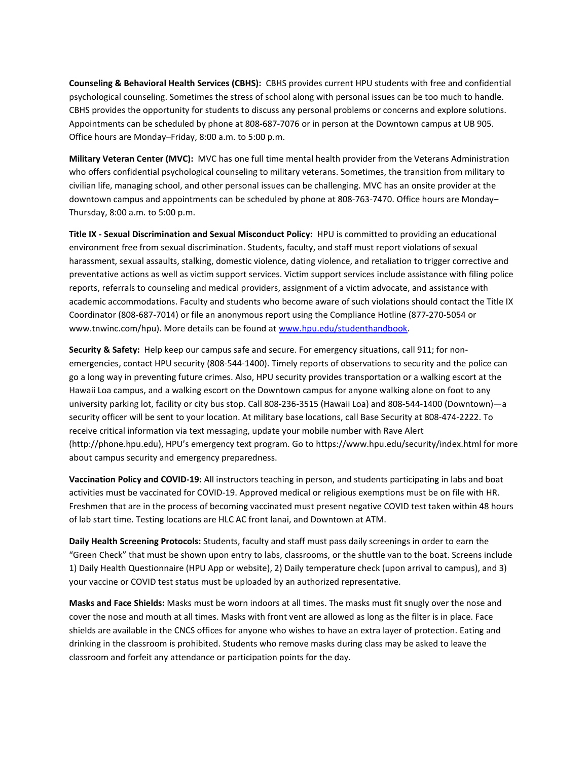Counseling & Behavioral Health Services (CBHS): CBHS provides current HPU students with free and confidential psychological counseling. Sometimes the stress of school along with personal issues can be too much to handle. CBHS provides the opportunity for students to discuss any personal problems or concerns and explore solutions. Appointments can be scheduled by phone at 808-687-7076 or in person at the Downtown campus at UB 905. Office hours are Monday–Friday, 8:00 a.m. to 5:00 p.m.

Military Veteran Center (MVC): MVC has one full time mental health provider from the Veterans Administration who offers confidential psychological counseling to military veterans. Sometimes, the transition from military to civilian life, managing school, and other personal issues can be challenging. MVC has an onsite provider at the downtown campus and appointments can be scheduled by phone at 808-763-7470. Office hours are Monday– Thursday, 8:00 a.m. to 5:00 p.m.

Title IX - Sexual Discrimination and Sexual Misconduct Policy: HPU is committed to providing an educational environment free from sexual discrimination. Students, faculty, and staff must report violations of sexual harassment, sexual assaults, stalking, domestic violence, dating violence, and retaliation to trigger corrective and preventative actions as well as victim support services. Victim support services include assistance with filing police reports, referrals to counseling and medical providers, assignment of a victim advocate, and assistance with academic accommodations. Faculty and students who become aware of such violations should contact the Title IX Coordinator (808-687-7014) or file an anonymous report using the Compliance Hotline (877-270-5054 or www.tnwinc.com/hpu). More details can be found at www.hpu.edu/studenthandbook.

Security & Safety: Help keep our campus safe and secure. For emergency situations, call 911; for nonemergencies, contact HPU security (808-544-1400). Timely reports of observations to security and the police can go a long way in preventing future crimes. Also, HPU security provides transportation or a walking escort at the Hawaii Loa campus, and a walking escort on the Downtown campus for anyone walking alone on foot to any university parking lot, facility or city bus stop. Call 808-236-3515 (Hawaii Loa) and 808-544-1400 (Downtown)—a security officer will be sent to your location. At military base locations, call Base Security at 808-474-2222. To receive critical information via text messaging, update your mobile number with Rave Alert (http://phone.hpu.edu), HPU's emergency text program. Go to https://www.hpu.edu/security/index.html for more about campus security and emergency preparedness.

Vaccination Policy and COVID-19: All instructors teaching in person, and students participating in labs and boat activities must be vaccinated for COVID-19. Approved medical or religious exemptions must be on file with HR. Freshmen that are in the process of becoming vaccinated must present negative COVID test taken within 48 hours of lab start time. Testing locations are HLC AC front lanai, and Downtown at ATM.

Daily Health Screening Protocols: Students, faculty and staff must pass daily screenings in order to earn the "Green Check" that must be shown upon entry to labs, classrooms, or the shuttle van to the boat. Screens include 1) Daily Health Questionnaire (HPU App or website), 2) Daily temperature check (upon arrival to campus), and 3) your vaccine or COVID test status must be uploaded by an authorized representative.

Masks and Face Shields: Masks must be worn indoors at all times. The masks must fit snugly over the nose and cover the nose and mouth at all times. Masks with front vent are allowed as long as the filter is in place. Face shields are available in the CNCS offices for anyone who wishes to have an extra layer of protection. Eating and drinking in the classroom is prohibited. Students who remove masks during class may be asked to leave the classroom and forfeit any attendance or participation points for the day.